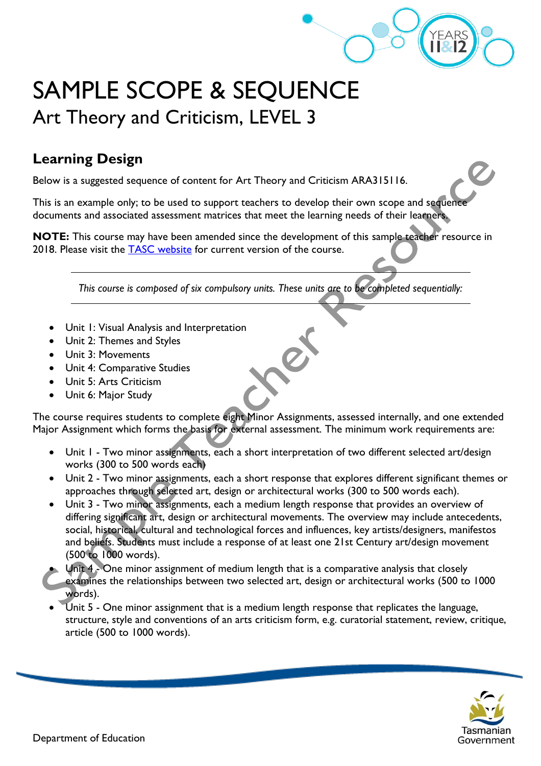

## SAMPLE SCOPE & SEQUENCE Art Theory and Criticism, LEVEL 3

## **Learning Design**

Below is a suggested sequence of content for Art Theory and Criticism ARA315116.

This is an example only; to be used to support teachers to develop their own scope and sequence documents and associated assessment matrices that meet the learning needs of their learners.

**NOTE:** This course may have been amended since the development of this sample teacher resource in 2018. Please visit the [TASC website](https://www.tasc.tas.gov.au/students/courses/a-z/) for current version of the course.

*This course is composed of six compulsory units. These units are to be completed sequentially:*

- Unit 1: Visual Analysis and Interpretation
- Unit 2: Themes and Styles
- Unit 3: Movements
- Unit 4: Comparative Studies
- Unit 5: Arts Criticism
- Unit 6: Major Study

The course requires students to complete eight Minor Assignments, assessed internally, and one extended Major Assignment which forms the basis for external assessment. The minimum work requirements are:

- Unit 1 Two minor assignments, each a short interpretation of two different selected art/design works (300 to 500 words each)
- Unit 2 Two minor assignments, each a short response that explores different significant themes or approaches through selected art, design or architectural works (300 to 500 words each).
- Unit 3 Two minor assignments, each a medium length response that provides an overview of differing significant art, design or architectural movements. The overview may include antecedents, social, historical, cultural and technological forces and influences, key artists/designers, manifestos and beliefs. Students must include a response of at least one 21st Century art/design movement (500 to 1000 words).
- Unit 4 One minor assignment of medium length that is a comparative analysis that closely examines the relationships between two selected art, design or architectural works (500 to 1000 words).
- Unit 5 One minor assignment that is a medium length response that replicates the language, structure, style and conventions of an arts criticism form, e.g. curatorial statement, review, critique, article (500 to 1000 words).